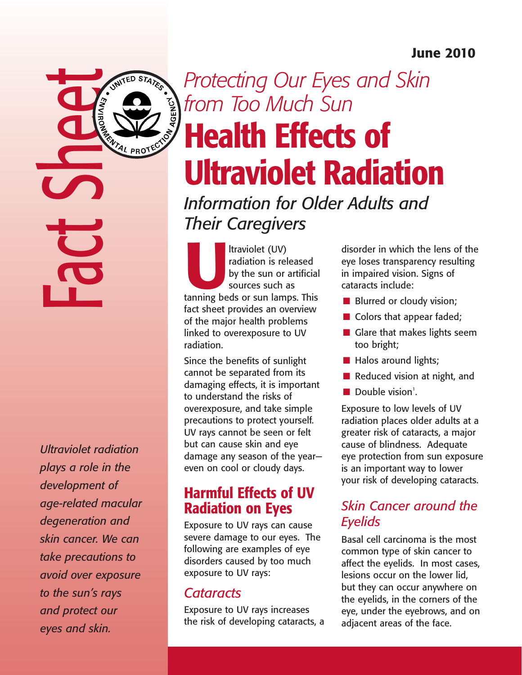### June 2010

Fact Sheet

UNITED STATES

*Ultraviolet radiation plays a role in the development of age-related macular degeneration and skin cancer. We can take precautions to avoid over exposure to the sun's rays and protect our eyes and skin.*

# *Protecting Our Eyes and Skin*  **CON AGENCY** *from Too Much Sun*  Health Effects of Ultraviolet Radiation

*Information for Older Adults and Their Caregivers*

Itraviolet (UV)<br>
radiation is released<br>
by the sun or artificial<br>
sources such as<br>
tanning beds or sun lamps. This radiation is released by the sun or artificial sources such as fact sheet provides an overview of the major health problems linked to overexposure to UV radiation.

Since the benefits of sunlight cannot be separated from its damaging effects, it is important to understand the risks of overexposure, and take simple precautions to protect yourself. UV rays cannot be seen or felt but can cause skin and eye damage any season of the year even on cool or cloudy days.

## Harmful Effects of UV Radiation on Eyes

Exposure to UV rays can cause severe damage to our eyes. The following are examples of eye disorders caused by too much exposure to UV rays:

### *Cataracts*

Exposure to UV rays increases the risk of developing cataracts, a

disorder in which the lens of the eye loses transparency resulting in impaired vision. Signs of cataracts include:

- **n** Blurred or cloudy vision;
- $\blacksquare$  Colors that appear faded;
- $\blacksquare$  Glare that makes lights seem too bright;
- **n** Halos around lights;
- $\blacksquare$  Reduced vision at night, and
- $\blacksquare$  Double vision<sup>1</sup>.

Exposure to low levels of UV radiation places older adults at a greater risk of cataracts, a major cause of blindness. Adequate eye protection from sun exposure is an important way to lower your risk of developing cataracts.

### *Skin Cancer around the Eyelids*

Basal cell carcinoma is the most common type of skin cancer to affect the eyelids. In most cases, lesions occur on the lower lid, but they can occur anywhere on the eyelids, in the corners of the eye, under the eyebrows, and on adjacent areas of the face.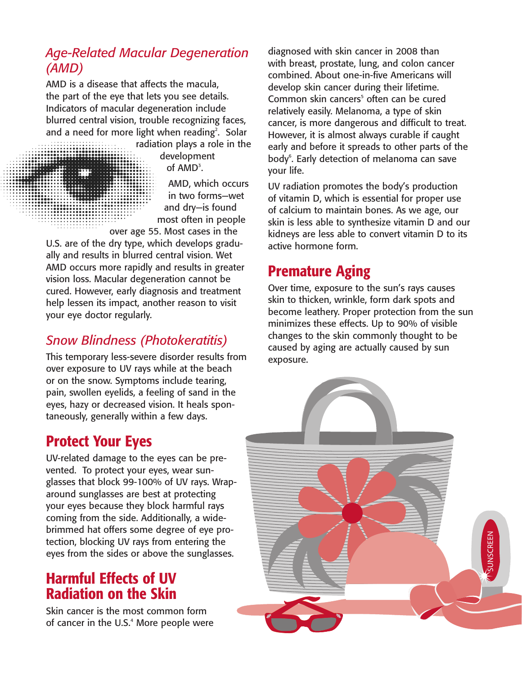### *Age-Related Macular Degeneration (AMD)*

AMD is a disease that affects the macula, the part of the eye that lets you see details. Indicators of macular degeneration include blurred central vision, trouble recognizing faces, and a need for more light when reading<sup>2</sup>. Solar

> radiation plays a role in the development of  $AMD<sup>3</sup>$ .

AMD, which occurs in two forms—wet and dry—is found most often in people over age 55. Most cases in the

U.S. are of the dry type, which develops gradually and results in blurred central vision. Wet AMD occurs more rapidly and results in greater vision loss. Macular degeneration cannot be cured. However, early diagnosis and treatment help lessen its impact, another reason to visit your eye doctor regularly.

### *Snow Blindness (Photokeratitis)*

This temporary less-severe disorder results from over exposure to UV rays while at the beach or on the snow. Symptoms include tearing, pain, swollen eyelids, a feeling of sand in the eyes, hazy or decreased vision. It heals spontaneously, generally within a few days.

# Protect Your Eyes

UV-related damage to the eyes can be prevented. To protect your eyes, wear sunglasses that block 99-100% of UV rays. Wraparound sunglasses are best at protecting your eyes because they block harmful rays coming from the side. Additionally, a widebrimmed hat offers some degree of eye protection, blocking UV rays from entering the eyes from the sides or above the sunglasses.

# Harmful Effects of UV Radiation on the Skin

Skin cancer is the most common form of cancer in the U.S.<sup>4</sup> More people were diagnosed with skin cancer in 2008 than with breast, prostate, lung, and colon cancer combined. About one-in-five Americans will develop skin cancer during their lifetime. Common skin cancers<sup>5</sup> often can be cured relatively easily. Melanoma, a type of skin cancer, is more dangerous and difficult to treat. However, it is almost always curable if caught early and before it spreads to other parts of the body<sup>6</sup>. Early detection of melanoma can save your life.

UV radiation promotes the body's production of vitamin D, which is essential for proper use of calcium to maintain bones. As we age, our skin is less able to synthesize vitamin D and our kidneys are less able to convert vitamin D to its active hormone form.

# Premature Aging

Over time, exposure to the sun's rays causes skin to thicken, wrinkle, form dark spots and become leathery. Proper protection from the sun minimizes these effects. Up to 90% of visible changes to the skin commonly thought to be caused by aging are actually caused by sun exposure.

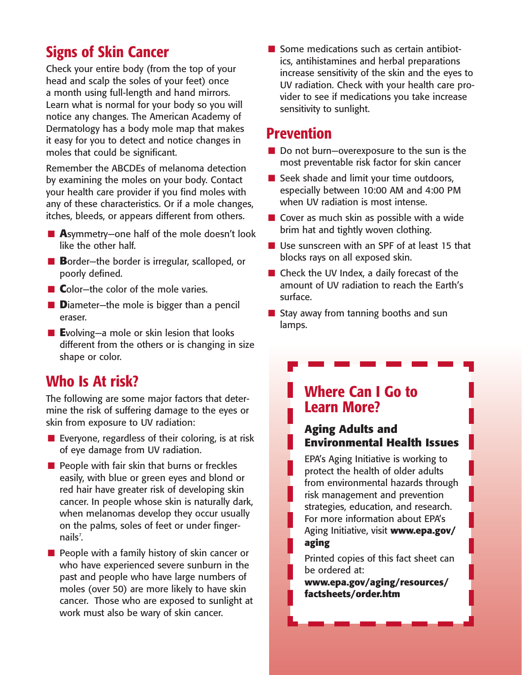# Signs of Skin Cancer

Check your entire body (from the top of your head and scalp the soles of your feet) once a month using full-length and hand mirrors. Learn what is normal for your body so you will notice any changes. The American Academy of Dermatology has a body mole map that makes it easy for you to detect and notice changes in moles that could be significant.

Remember the ABCDEs of melanoma detection by examining the moles on your body. Contact your health care provider if you find moles with any of these characteristics. Or if a mole changes, itches, bleeds, or appears different from others.

- Asymmetry-one half of the mole doesn't look like the other half.
- **B**order—the border is irregular, scalloped, or poorly defined.
- **n C**olor—the color of the mole varies.
- **n D**iameter—the mole is bigger than a pencil eraser.
- Evolving—a mole or skin lesion that looks different from the others or is changing in size shape or color.

### Who Is At risk?

The following are some major factors that determine the risk of suffering damage to the eyes or skin from exposure to UV radiation:

- $\blacksquare$  Everyone, regardless of their coloring, is at risk of eye damage from UV radiation.
- $\blacksquare$  People with fair skin that burns or freckles easily, with blue or green eyes and blond or red hair have greater risk of developing skin cancer. In people whose skin is naturally dark, when melanomas develop they occur usually on the palms, soles of feet or under fingernails<sup>7</sup>.
- $\blacksquare$  People with a family history of skin cancer or who have experienced severe sunburn in the past and people who have large numbers of moles (over 50) are more likely to have skin cancer. Those who are exposed to sunlight at work must also be wary of skin cancer.

 $\blacksquare$  Some medications such as certain antibiotics, antihistamines and herbal preparations increase sensitivity of the skin and the eyes to UV radiation. Check with your health care provider to see if medications you take increase sensitivity to sunlight.

### Prevention

I.

L

 $\overline{\phantom{a}}$ 

- $\blacksquare$  Do not burn—overexposure to the sun is the most preventable risk factor for skin cancer
- $\blacksquare$  Seek shade and limit your time outdoors, especially between 10:00 AM and 4:00 PM when UV radiation is most intense.
- $\blacksquare$  Cover as much skin as possible with a wide brim hat and tightly woven clothing.
- $\blacksquare$  Use sunscreen with an SPF of at least 15 that blocks rays on all exposed skin.
- $\blacksquare$  Check the UV Index, a daily forecast of the amount of UV radiation to reach the Earth's surface.
- **n** Stay away from tanning booths and sun lamps.

### Where Can I Go to Learn More?

#### **Aging Adults and Environmental Health Issues**

EPA's Aging Initiative is working to protect the health of older adults from environmental hazards through risk management and prevention strategies, education, and research. For more information about EPA's Aging Initiative, visit **www.epa.gov/ aging**

Printed copies of this fact sheet can be ordered at:

**www.epa.gov/aging/resources/ factsheets/order.htm**